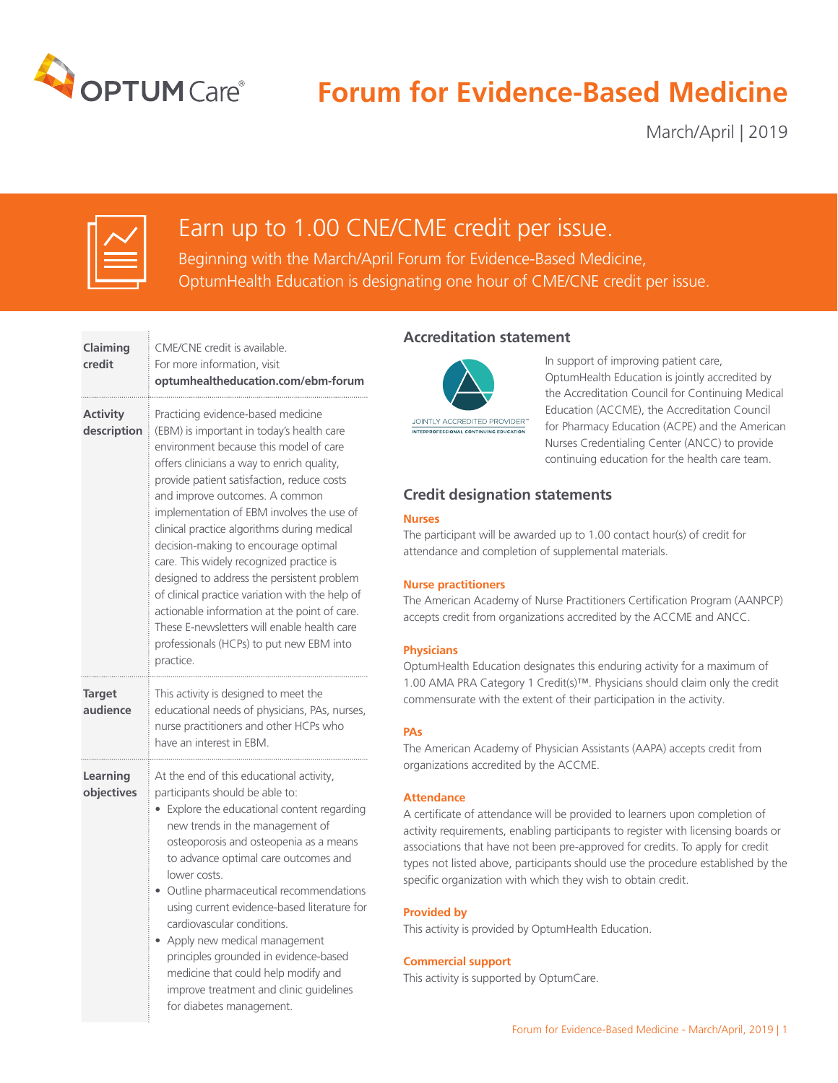

## **Forum for Evidence-Based Medicine**

March/April | 2019

| $\sim$<br>-- |
|--------------|
|              |
|              |

## Earn up to 1.00 CNE/CME credit per issue.

Beginning with the March/April Forum for Evidence-Based Medicine, OptumHealth Education is designating one hour of CME/CNE credit per issue.

| Claiming<br>credit             | CME/CNE credit is available.<br>For more information, visit<br>optumhealtheducation.com/ebm-forum                                                                                                                                                                                                                                                                                                                                                                                                                                                                                                                                                                                                |
|--------------------------------|--------------------------------------------------------------------------------------------------------------------------------------------------------------------------------------------------------------------------------------------------------------------------------------------------------------------------------------------------------------------------------------------------------------------------------------------------------------------------------------------------------------------------------------------------------------------------------------------------------------------------------------------------------------------------------------------------|
| <b>Activity</b><br>description | Practicing evidence-based medicine<br>(EBM) is important in today's health care<br>environment because this model of care<br>offers clinicians a way to enrich quality,<br>provide patient satisfaction, reduce costs<br>and improve outcomes. A common<br>implementation of EBM involves the use of<br>clinical practice algorithms during medical<br>decision-making to encourage optimal<br>care. This widely recognized practice is<br>designed to address the persistent problem<br>of clinical practice variation with the help of<br>actionable information at the point of care.<br>These E-newsletters will enable health care<br>professionals (HCPs) to put new EBM into<br>practice. |
| <b>Target</b><br>audience      | This activity is designed to meet the<br>educational needs of physicians, PAs, nurses,<br>nurse practitioners and other HCPs who<br>have an interest in EBM.                                                                                                                                                                                                                                                                                                                                                                                                                                                                                                                                     |
| Learning<br>objectives         | At the end of this educational activity,<br>participants should be able to:<br>Explore the educational content regarding<br>٠<br>new trends in the management of<br>osteoporosis and osteopenia as a means<br>to advance optimal care outcomes and<br>lower costs.<br>Outline pharmaceutical recommendations<br>using current evidence-based literature for<br>cardiovascular conditions.<br>Apply new medical management<br>principles grounded in evidence-based<br>medicine that could help modify and<br>improve treatment and clinic guidelines<br>for diabetes management.                                                                                                                 |

### **Accreditation statement**



In support of improving patient care, OptumHealth Education is jointly accredited by the Accreditation Council for Continuing Medical Education (ACCME), the Accreditation Council for Pharmacy Education (ACPE) and the American Nurses Credentialing Center (ANCC) to provide continuing education for the health care team.

### **Credit designation statements**

### **Nurses**

The participant will be awarded up to 1.00 contact hour(s) of credit for attendance and completion of supplemental materials.

### **Nurse practitioners**

The American Academy of Nurse Practitioners Certification Program (AANPCP) accepts credit from organizations accredited by the ACCME and ANCC.

### **Physicians**

OptumHealth Education designates this enduring activity for a maximum of 1.00 AMA PRA Category 1 Credit(s)™. Physicians should claim only the credit commensurate with the extent of their participation in the activity.

### **PAs**

The American Academy of Physician Assistants (AAPA) accepts credit from organizations accredited by the ACCME.

### **Attendance**

A certificate of attendance will be provided to learners upon completion of activity requirements, enabling participants to register with licensing boards or associations that have not been pre-approved for credits. To apply for credit types not listed above, participants should use the procedure established by the specific organization with which they wish to obtain credit.

### **Provided by**

This activity is provided by OptumHealth Education.

### **Commercial support**

This activity is supported by OptumCare.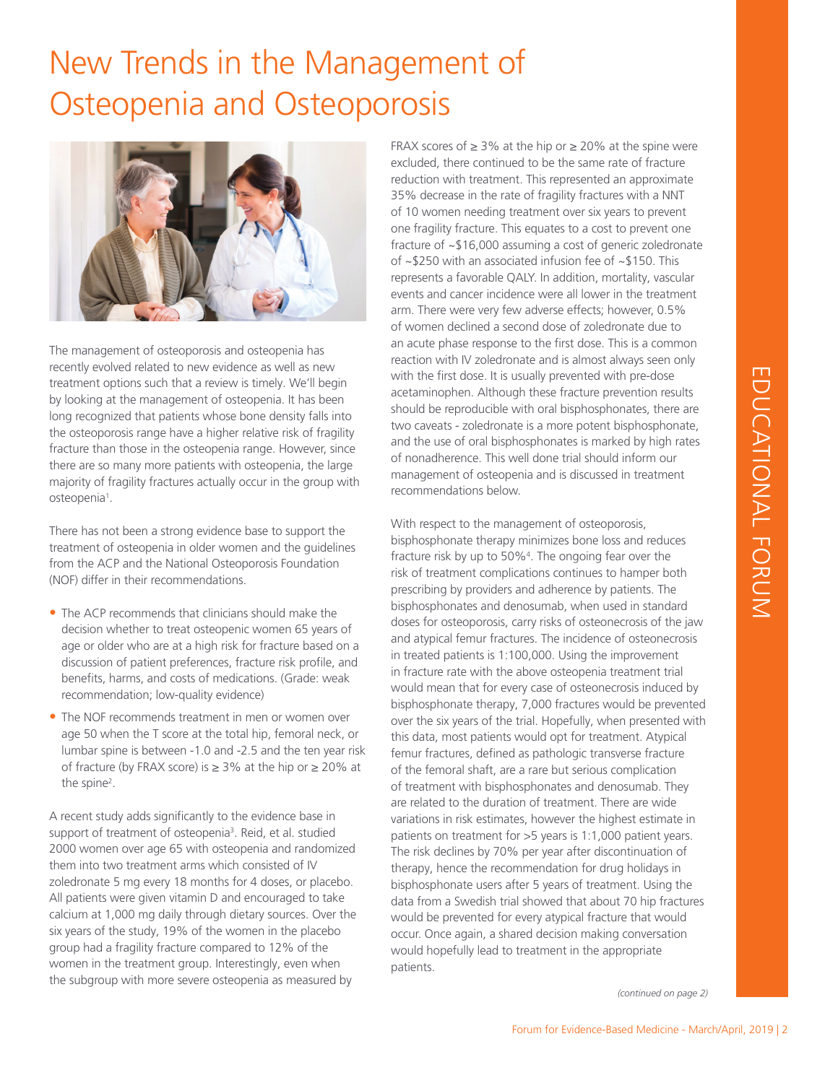# New Trends in the Management of Osteopenia and Osteoporosis



The management of osteoporosis and osteopenia has recently evolved related to new evidence as well as new treatment options such that a review is timely. We'll begin by looking at the management of osteopenia. It has been long recognized that patients whose bone density falls into the osteoporosis range have a higher relative risk of fragility fracture than those in the osteopenia range. However, since there are so many more patients with osteopenia, the large majority of fragility fractures actually occur in the group with osteopenia<sup>1</sup>.

There has not been a strong evidence base to support the treatment of osteopenia in older women and the guidelines from the ACP and the National Osteoporosis Foundation (NOF) differ in their recommendations.

- The ACP recommends that clinicians should make the decision whether to treat osteopenic women 65 years of age or older who are at a high risk for fracture based on a discussion of patient preferences, fracture risk profile, and benefits, harms, and costs of medications. (Grade: weak recommendation; low-quality evidence)
- The NOF recommends treatment in men or women over age 50 when the T score at the total hip, femoral neck, or lumbar spine is between -1.0 and -2.5 and the ten year risk of fracture (by FRAX score) is  $≥ 3%$  at the hip or  $≥ 20%$  at the spine<sup>2</sup>.

A recent study adds significantly to the evidence base in support of treatment of osteopenia<sup>3</sup>. Reid, et al. studied 2000 women over age 65 with osteopenia and randomized them into two treatment arms which consisted of IV zoledronate 5 mg every 18 months for 4 doses, or placebo. All patients were given vitamin D and encouraged to take calcium at 1,000 mg daily through dietary sources. Over the six years of the study, 19% of the women in the placebo group had a fragility fracture compared to 12% of the women in the treatment group. Interestingly, even when the subgroup with more severe osteopenia as measured by

FRAX scores of  $\geq 3\%$  at the hip or  $\geq 20\%$  at the spine were excluded, there continued to be the same rate of fracture reduction with treatment. This represented an approximate 35% decrease in the rate of fragility fractures with a NNT of 10 women needing treatment over six years to prevent one fragility fracture. This equates to a cost to prevent one fracture of ~\$16,000 assuming a cost of generic zoledronate of ~\$250 with an associated infusion fee of ~\$150. This represents a favorable QALY. In addition, mortality, vascular events and cancer incidence were all lower in the treatment arm. There were very few adverse effects; however, 0.5% of women declined a second dose of zoledronate due to an acute phase response to the first dose. This is a common reaction with IV zoledronate and is almost always seen only with the first dose. It is usually prevented with pre-dose acetaminophen. Although these fracture prevention results should be reproducible with oral bisphosphonates, there are two caveats - zoledronate is a more potent bisphosphonate, and the use of oral bisphosphonates is marked by high rates of nonadherence. This well done trial should inform our management of osteopenia and is discussed in treatment recommendations below.

With respect to the management of osteoporosis, bisphosphonate therapy minimizes bone loss and reduces fracture risk by up to 50%<sup>4</sup>. The ongoing fear over the risk of treatment complications continues to hamper both prescribing by providers and adherence by patients. The bisphosphonates and denosumab, when used in standard doses for osteoporosis, carry risks of osteonecrosis of the jaw and atypical femur fractures. The incidence of osteonecrosis in treated patients is 1:100,000. Using the improvement in fracture rate with the above osteopenia treatment trial would mean that for every case of osteonecrosis induced by bisphosphonate therapy, 7,000 fractures would be prevented over the six years of the trial. Hopefully, when presented with this data, most patients would opt for treatment. Atypical femur fractures, defined as pathologic transverse fracture of the femoral shaft, are a rare but serious complication of treatment with bisphosphonates and denosumab. They are related to the duration of treatment. There are wide variations in risk estimates, however the highest estimate in patients on treatment for >5 years is 1:1,000 patient years. The risk declines by 70% per year after discontinuation of therapy, hence the recommendation for drug holidays in bisphosphonate users after 5 years of treatment. Using the data from a Swedish trial showed that about 70 hip fractures would be prevented for every atypical fracture that would occur. Once again, a shared decision making conversation would hopefully lead to treatment in the appropriate patients.

*(continued on page 2)*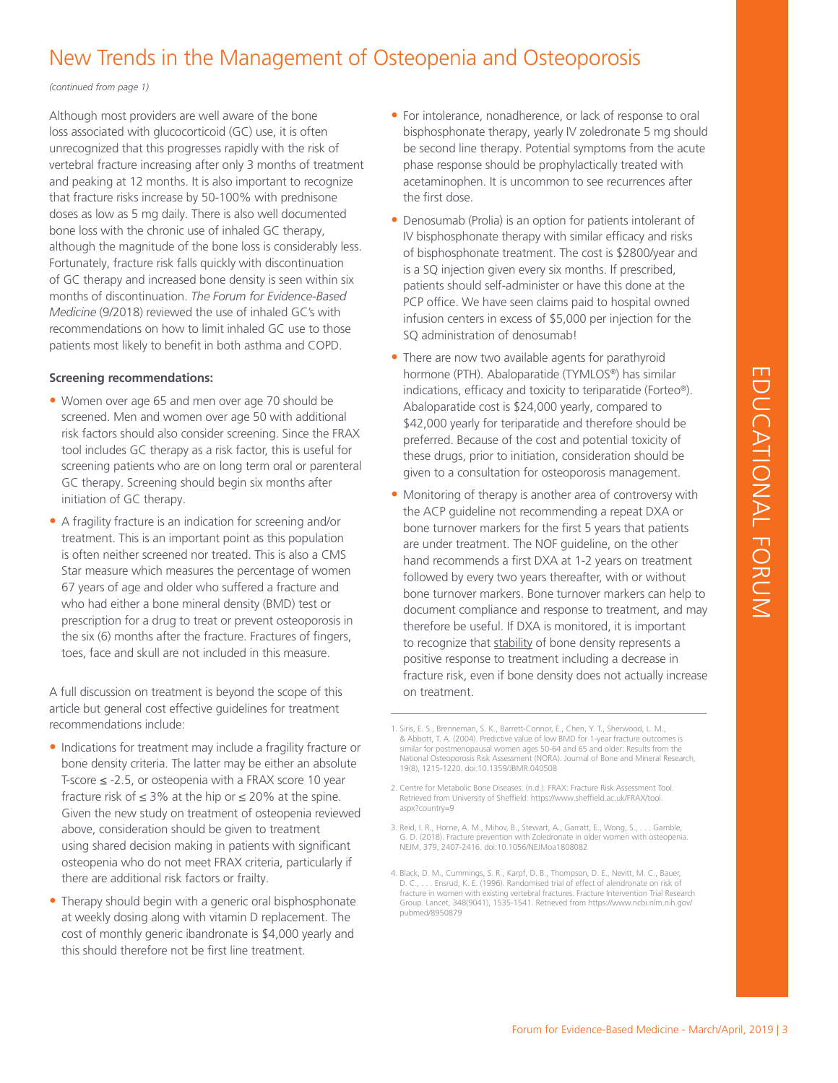### New Trends in the Management of Osteopenia and Osteoporosis

*(continued from page 1)*

Although most providers are well aware of the bone loss associated with glucocorticoid (GC) use, it is often unrecognized that this progresses rapidly with the risk of vertebral fracture increasing after only 3 months of treatment and peaking at 12 months. It is also important to recognize that fracture risks increase by 50-100% with prednisone doses as low as 5 mg daily. There is also well documented bone loss with the chronic use of inhaled GC therapy, although the magnitude of the bone loss is considerably less. Fortunately, fracture risk falls quickly with discontinuation of GC therapy and increased bone density is seen within six months of discontinuation. *The Forum for Evidence-Based Medicine* (9/2018) reviewed the use of inhaled GC's with recommendations on how to limit inhaled GC use to those patients most likely to benefit in both asthma and COPD.

### **Screening recommendations:**

- Women over age 65 and men over age 70 should be screened. Men and women over age 50 with additional risk factors should also consider screening. Since the FRAX tool includes GC therapy as a risk factor, this is useful for screening patients who are on long term oral or parenteral GC therapy. Screening should begin six months after initiation of GC therapy.
- A fragility fracture is an indication for screening and/or treatment. This is an important point as this population is often neither screened nor treated. This is also a CMS Star measure which measures the percentage of women 67 years of age and older who suffered a fracture and who had either a bone mineral density (BMD) test or prescription for a drug to treat or prevent osteoporosis in the six (6) months after the fracture. Fractures of fingers, toes, face and skull are not included in this measure.

A full discussion on treatment is beyond the scope of this article but general cost effective guidelines for treatment recommendations include:

- Indications for treatment may include a fragility fracture or bone density criteria. The latter may be either an absolute T-score ≤ -2.5, or osteopenia with a FRAX score 10 year fracture risk of  $\leq$  3% at the hip or  $\leq$  20% at the spine. Given the new study on treatment of osteopenia reviewed above, consideration should be given to treatment using shared decision making in patients with significant osteopenia who do not meet FRAX criteria, particularly if there are additional risk factors or frailty.
- Therapy should begin with a generic oral bisphosphonate at weekly dosing along with vitamin D replacement. The cost of monthly generic ibandronate is \$4,000 yearly and this should therefore not be first line treatment.
- For intolerance, nonadherence, or lack of response to oral bisphosphonate therapy, yearly IV zoledronate 5 mg should be second line therapy. Potential symptoms from the acute phase response should be prophylactically treated with acetaminophen. It is uncommon to see recurrences after the first dose.
- Denosumab (Prolia) is an option for patients intolerant of IV bisphosphonate therapy with similar efficacy and risks of bisphosphonate treatment. The cost is \$2800/year and is a SQ injection given every six months. If prescribed, patients should self-administer or have this done at the PCP office. We have seen claims paid to hospital owned infusion centers in excess of \$5,000 per injection for the SQ administration of denosumab!
- There are now two available agents for parathyroid hormone (PTH). Abaloparatide (TYMLOS®) has similar indications, efficacy and toxicity to teriparatide (Forteo®). Abaloparatide cost is \$24,000 yearly, compared to \$42,000 yearly for teriparatide and therefore should be preferred. Because of the cost and potential toxicity of these drugs, prior to initiation, consideration should be given to a consultation for osteoporosis management.
- oparatide (TYMLOS®) has similar<br>
for coxicity to teriparatide (Forteo®).<br>
for 2524,000 yearly, compared to<br>
imparatide and therefore should be<br>
the cost and potential toxicity of<br>
inficition, consideration should be<br>
in fi • Monitoring of therapy is another area of controversy with the ACP guideline not recommending a repeat DXA or bone turnover markers for the first 5 years that patients are under treatment. The NOF guideline, on the other hand recommends a first DXA at 1-2 years on treatment followed by every two years thereafter, with or without bone turnover markers. Bone turnover markers can help to document compliance and response to treatment, and may therefore be useful. If DXA is monitored, it is important to recognize that stability of bone density represents a positive response to treatment including a decrease in fracture risk, even if bone density does not actually increase on treatment.
- 2. Centre for Metabolic Bone Diseases. (n.d.). FRAX: Fracture Risk Assessment Tool. Retrieved from University of Sheffield: https://www.sheffield.ac.uk/FRAX/tool. aspx?country=9
- 3. Reid, I. R., Horne, A. M., Mihov, B., Stewart, A., Garratt, E., Wong, S., . . . Gamble, G. D. (2018). Fracture prevention with Zoledronate in older women with osteopenia. NEJM, 379, 2407-2416. doi:10.1056/NEJMoa1808082
- 4. Black, D. M., Cummings, S. R., Karpf, D. B., Thompson, D. E., Nevitt, M. C., Bauer, D. C., . . . Ensrud, K. E. (1996). Randomised trial of effect of alendronate on risk of fracture in women with existing vertebral fractures. Fracture Intervention Trial Research Group. Lancet, 348(9041), 1535-1541. Retrieved from https://www.ncbi.nlm.nih.gov/ pubmed/8950879

l

<sup>1.</sup> Siris, E. S., Brenneman, S. K., Barrett-Connor, E., Chen, Y. T., Sherwood, L. M., & Abbott, T. A. (2004). Predictive value of low BMD for 1-year fracture outcomes is similar for postmenopausal women ages 50-64 and 65 and older: Results from the National Osteoporosis Risk Assessment (NORA). Journal of Bone and Mineral Research, 19(8), 1215-1220. doi:10.1359/JBMR.040508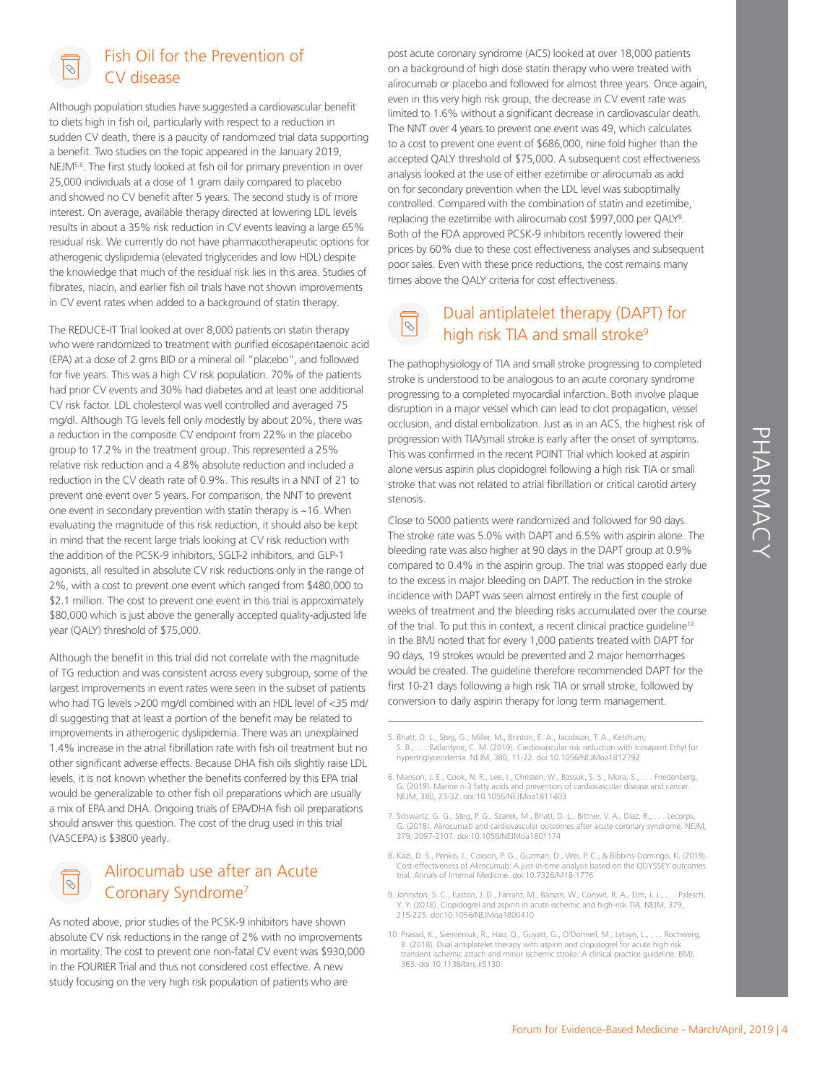### Fish Oil for the Prevention of CV disease

Although population studies have suggested a cardiovascular benefit to diets high in fish oil, particularly with respect to a reduction in sudden CV death, there is a paucity of randomized trial data supporting a benefit. Two studies on the topic appeared in the January 2019, NEJM5,6. The first study looked at fish oil for primary prevention in over 25,000 individuals at a dose of 1 gram daily compared to placebo and showed no CV benefit after 5 years. The second study is of more interest. On average, available therapy directed at lowering LDL levels results in about a 35% risk reduction in CV events leaving a large 65% residual risk. We currently do not have pharmacotherapeutic options for atherogenic dyslipidemia (elevated triglycerides and low HDL) despite the knowledge that much of the residual risk lies in this area. Studies of fibrates, niacin, and earlier fish oil trials have not shown improvements in CV event rates when added to a background of statin therapy.

The REDUCE-IT Trial looked at over 8,000 patients on statin therapy who were randomized to treatment with purified eicosapentaenoic acid (EPA) at a dose of 2 gms BID or a mineral oil "placebo", and followed for five years. This was a high CV risk population. 70% of the patients had prior CV events and 30% had diabetes and at least one additional CV risk factor. LDL cholesterol was well controlled and averaged 75 mg/dl. Although TG levels fell only modestly by about 20%, there was a reduction in the composite CV endpoint from 22% in the placebo group to 17.2% in the treatment group. This represented a 25% relative risk reduction and a 4.8% absolute reduction and included a reduction in the CV death rate of 0.9%. This results in a NNT of 21 to prevent one event over 5 years. For comparison, the NNT to prevent one event in secondary prevention with statin therapy is ~16. When evaluating the magnitude of this risk reduction, it should also be kept in mind that the recent large trials looking at CV risk reduction with the addition of the PCSK-9 inhibitors, SGLT-2 inhibitors, and GLP-1 agonists, all resulted in absolute CV risk reductions only in the range of 2%, with a cost to prevent one event which ranged from \$480,000 to \$2.1 million. The cost to prevent one event in this trial is approximately \$80,000 which is just above the generally accepted quality-adjusted life year (QALY) threshold of \$75,000.

Although the benefit in this trial did not correlate with the magnitude of TG reduction and was consistent across every subgroup, some of the largest improvements in event rates were seen in the subset of patients who had TG levels >200 mg/dl combined with an HDL level of <35 md/ dl suggesting that at least a portion of the benefit may be related to improvements in atherogenic dyslipidemia. There was an unexplained 1.4% increase in the atrial fibrillation rate with fish oil treatment but no other significant adverse effects. Because DHA fish oils slightly raise LDL levels, it is not known whether the benefits conferred by this EPA trial would be generalizable to other fish oil preparations which are usually a mix of EPA and DHA. Ongoing trials of EPA/DHA fish oil preparations should answer this question. The cost of the drug used in this trial (VASCEPA) is \$3800 yearly.

### Alirocumab use after an Acute Coronary Syndrome7

 $|\infty|$ 

As noted above, prior studies of the PCSK-9 inhibitors have shown absolute CV risk reductions in the range of 2% with no improvements in mortality. The cost to prevent one non-fatal CV event was \$930,000 in the FOURIER Trial and thus not considered cost effective. A new study focusing on the very high risk population of patients who are

post acute coronary syndrome (ACS) looked at over 18,000 patients on a background of high dose statin therapy who were treated with alirocumab or placebo and followed for almost three years. Once again, even in this very high risk group, the decrease in CV event rate was limited to 1.6% without a significant decrease in cardiovascular death. The NNT over 4 years to prevent one event was 49, which calculates to a cost to prevent one event of \$686,000, nine fold higher than the accepted QALY threshold of \$75,000. A subsequent cost effectiveness analysis looked at the use of either ezetimibe or alirocumab as add on for secondary prevention when the LDL level was suboptimally controlled. Compared with the combination of statin and ezetimibe, replacing the ezetimibe with alirocumab cost \$997,000 per QALY<sup>8</sup>. Both of the FDA approved PCSK-9 inhibitors recently lowered their prices by 60% due to these cost effectiveness analyses and subsequent poor sales. Even with these price reductions, the cost remains many times above the QALY criteria for cost effectiveness.

#### Dual antiplatelet therapy (DAPT) for  $\infty$ high risk TIA and small stroke<sup>9</sup>

The pathophysiology of TIA and small stroke progressing to completed stroke is understood to be analogous to an acute coronary syndrome progressing to a completed myocardial infarction. Both involve plaque disruption in a major vessel which can lead to clot propagation, vessel occlusion, and distal embolization. Just as in an ACS, the highest risk of progression with TIA/small stroke is early after the onset of symptoms. This was confirmed in the recent POINT Trial which looked at aspirin alone versus aspirin plus clopidogrel following a high risk TIA or small stroke that was not related to atrial fibrillation or critical carotid artery stenosis.

troke is early after the onset of symptoms.<br>
The meth POINT Trial which looked at aspirin<br>
io atrial fibrillation or critical carotid attery<br>
the only as high risk TA or small<br>
trial MP Tand 6.5% with aspirin alone. The<br>
r Close to 5000 patients were randomized and followed for 90 days. The stroke rate was 5.0% with DAPT and 6.5% with aspirin alone. The bleeding rate was also higher at 90 days in the DAPT group at 0.9% compared to 0.4% in the aspirin group. The trial was stopped early due to the excess in major bleeding on DAPT. The reduction in the stroke incidence with DAPT was seen almost entirely in the first couple of weeks of treatment and the bleeding risks accumulated over the course of the trial. To put this in context, a recent clinical practice guideline<sup>10</sup> in the BMJ noted that for every 1,000 patients treated with DAPT for 90 days, 19 strokes would be prevented and 2 major hemorrhages would be created. The guideline therefore recommended DAPT for the first 10-21 days following a high risk TIA or small stroke, followed by conversion to daily aspirin therapy for long term management.

- 7. Schwartz, G. G., Steg, P. G., Szarek, M., Bhatt, D. L., Bittner, V. A., Diaz, R., . . . Lecorps, G. (2018). Alirocumab and cardiovascular outcomes after acute coronary syndrome. NEJM, 379, 2097-2107. doi:10.1056/NEJMoa1801174
- 8. Kazi, D. S., Penko, J., Coxson, P. G., Guzman, D., Wei, P. C., & Bibbins-Domingo, K. (2019). Cost-effectiveness of Alirocumab: A just-in-time analysis based on the ODYSSEY outcomes trial. Annals of Internal Medicine. doi:10.7326/M18-1776
- 9. Johnston, S. C., Easton, J. D., Farrant, M., Barsan, W., Conwit, R. A., Elm, J. J., . . . Palesch, Y. Y. (2018). Clopidogrel and aspirin in acute ischemic and high-risk TIA. NEJM, 379, 215-225. doi:10.1056/NEJMoa1800410
- 10. Prasad, K., Siemieniuk, R., Hao, Q., Guyatt, G., O'Donnell, M., Lytvyn, L., . . . Rochwerg, B. (2018). Dual antiplatelet therapy with aspirin and clopidogrel for acute high risk transient ischemic attach and minor ischemic stroke: A clinical practice guideline. BMJ, 363. doi:10.1136/bmj.k5130

l

<sup>5.</sup> Bhatt, D. L., Steg, G., Miller, M., Brinton, E. A., Jacobson, T. A., Ketchum, S. B., . . . Ballantyne, C. M. (2019). Cardiovascular risk reduction with Icosapent Ethyl for hypertriglyceridemia. NEJM, 380, 11-22. doi:10.1056/NEJMoa1812792

<sup>6.</sup> Manson, J. E., Cook, N. R., Lee, I., Christen, W., Bassuk, S. S., Mora, S., . . . Friedenberg, G. (2019). Marine n-3 fatty acids and prevention of cardiovascular disease and cancer. NEJM, 380, 23-32. doi:10.1056/NEJMoa1811403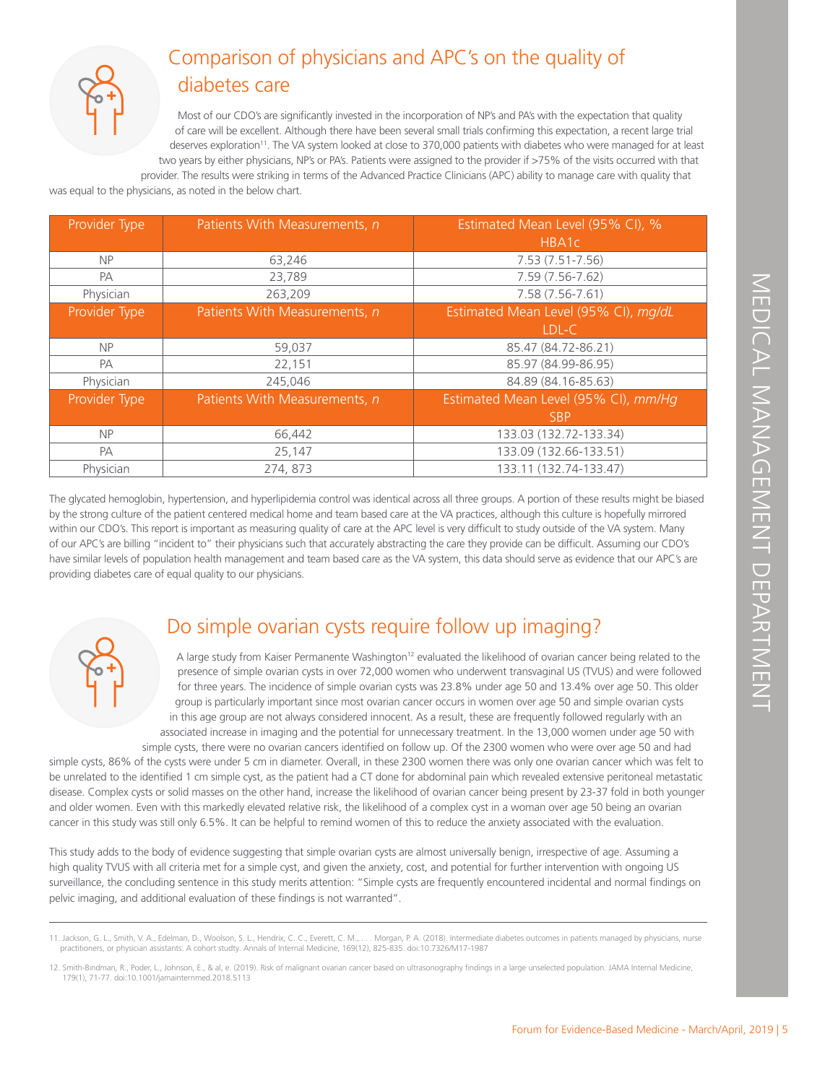

### Comparison of physicians and APC's on the quality of diabetes care

Most of our CDO's are significantly invested in the incorporation of NP's and PA's with the expectation that quality of care will be excellent. Although there have been several small trials confirming this expectation, a recent large trial deserves exploration<sup>11</sup>. The VA system looked at close to 370,000 patients with diabetes who were managed for at least two years by either physicians, NP's or PA's. Patients were assigned to the provider if >75% of the visits occurred with that provider. The results were striking in terms of the Advanced Practice Clinicians (APC) ability to manage care with quality that

was equal to the physicians, as noted in the below chart.

| Provider Type | Patients With Measurements, n                                                                                                                                                                                  | Estimated Mean Level (95% CI), %                                                                                                                                                                                                                                                                                                                                                                                                                                                                                                                                                                                                                                                                                                                                                                                                                                                                                                                                                                                                                                                                                                                                                                                                                                                                                                                                                                                                                                                                                                                                                                                                                                                                                                                    |
|---------------|----------------------------------------------------------------------------------------------------------------------------------------------------------------------------------------------------------------|-----------------------------------------------------------------------------------------------------------------------------------------------------------------------------------------------------------------------------------------------------------------------------------------------------------------------------------------------------------------------------------------------------------------------------------------------------------------------------------------------------------------------------------------------------------------------------------------------------------------------------------------------------------------------------------------------------------------------------------------------------------------------------------------------------------------------------------------------------------------------------------------------------------------------------------------------------------------------------------------------------------------------------------------------------------------------------------------------------------------------------------------------------------------------------------------------------------------------------------------------------------------------------------------------------------------------------------------------------------------------------------------------------------------------------------------------------------------------------------------------------------------------------------------------------------------------------------------------------------------------------------------------------------------------------------------------------------------------------------------------------|
|               |                                                                                                                                                                                                                | HBA1c                                                                                                                                                                                                                                                                                                                                                                                                                                                                                                                                                                                                                                                                                                                                                                                                                                                                                                                                                                                                                                                                                                                                                                                                                                                                                                                                                                                                                                                                                                                                                                                                                                                                                                                                               |
| <b>NP</b>     | 63,246                                                                                                                                                                                                         | 7.53 (7.51-7.56)                                                                                                                                                                                                                                                                                                                                                                                                                                                                                                                                                                                                                                                                                                                                                                                                                                                                                                                                                                                                                                                                                                                                                                                                                                                                                                                                                                                                                                                                                                                                                                                                                                                                                                                                    |
| PA            | 23,789                                                                                                                                                                                                         | 7.59 (7.56-7.62)                                                                                                                                                                                                                                                                                                                                                                                                                                                                                                                                                                                                                                                                                                                                                                                                                                                                                                                                                                                                                                                                                                                                                                                                                                                                                                                                                                                                                                                                                                                                                                                                                                                                                                                                    |
| Physician     | 263,209                                                                                                                                                                                                        | 7.58 (7.56-7.61)                                                                                                                                                                                                                                                                                                                                                                                                                                                                                                                                                                                                                                                                                                                                                                                                                                                                                                                                                                                                                                                                                                                                                                                                                                                                                                                                                                                                                                                                                                                                                                                                                                                                                                                                    |
| Provider Type | Patients With Measurements, n                                                                                                                                                                                  | Estimated Mean Level (95% CI), mg/dL                                                                                                                                                                                                                                                                                                                                                                                                                                                                                                                                                                                                                                                                                                                                                                                                                                                                                                                                                                                                                                                                                                                                                                                                                                                                                                                                                                                                                                                                                                                                                                                                                                                                                                                |
|               |                                                                                                                                                                                                                | LDL-C                                                                                                                                                                                                                                                                                                                                                                                                                                                                                                                                                                                                                                                                                                                                                                                                                                                                                                                                                                                                                                                                                                                                                                                                                                                                                                                                                                                                                                                                                                                                                                                                                                                                                                                                               |
| <b>NP</b>     | 59,037                                                                                                                                                                                                         | 85.47 (84.72-86.21)                                                                                                                                                                                                                                                                                                                                                                                                                                                                                                                                                                                                                                                                                                                                                                                                                                                                                                                                                                                                                                                                                                                                                                                                                                                                                                                                                                                                                                                                                                                                                                                                                                                                                                                                 |
| PA            | 22,151                                                                                                                                                                                                         | 85.97 (84.99-86.95)                                                                                                                                                                                                                                                                                                                                                                                                                                                                                                                                                                                                                                                                                                                                                                                                                                                                                                                                                                                                                                                                                                                                                                                                                                                                                                                                                                                                                                                                                                                                                                                                                                                                                                                                 |
| Physician     | 245,046                                                                                                                                                                                                        | 84.89 (84.16-85.63)                                                                                                                                                                                                                                                                                                                                                                                                                                                                                                                                                                                                                                                                                                                                                                                                                                                                                                                                                                                                                                                                                                                                                                                                                                                                                                                                                                                                                                                                                                                                                                                                                                                                                                                                 |
| Provider Type | Patients With Measurements, n                                                                                                                                                                                  | Estimated Mean Level (95% CI), mm/Hg                                                                                                                                                                                                                                                                                                                                                                                                                                                                                                                                                                                                                                                                                                                                                                                                                                                                                                                                                                                                                                                                                                                                                                                                                                                                                                                                                                                                                                                                                                                                                                                                                                                                                                                |
|               |                                                                                                                                                                                                                | <b>SBP</b>                                                                                                                                                                                                                                                                                                                                                                                                                                                                                                                                                                                                                                                                                                                                                                                                                                                                                                                                                                                                                                                                                                                                                                                                                                                                                                                                                                                                                                                                                                                                                                                                                                                                                                                                          |
| <b>NP</b>     | 66,442                                                                                                                                                                                                         | 133.03 (132.72-133.34)                                                                                                                                                                                                                                                                                                                                                                                                                                                                                                                                                                                                                                                                                                                                                                                                                                                                                                                                                                                                                                                                                                                                                                                                                                                                                                                                                                                                                                                                                                                                                                                                                                                                                                                              |
| PA            | 25,147                                                                                                                                                                                                         | 133.09 (132.66-133.51)                                                                                                                                                                                                                                                                                                                                                                                                                                                                                                                                                                                                                                                                                                                                                                                                                                                                                                                                                                                                                                                                                                                                                                                                                                                                                                                                                                                                                                                                                                                                                                                                                                                                                                                              |
| Physician     | 274, 873                                                                                                                                                                                                       | 133.11 (132.74-133.47)                                                                                                                                                                                                                                                                                                                                                                                                                                                                                                                                                                                                                                                                                                                                                                                                                                                                                                                                                                                                                                                                                                                                                                                                                                                                                                                                                                                                                                                                                                                                                                                                                                                                                                                              |
|               | of our APC's are billing "incident to" their physicians such that accurately abstracting the care they provide can be difficult. Assuming our CDO's                                                            | have similar levels of population health management and team based care as the VA system, this data should serve as evidence that our APC's are                                                                                                                                                                                                                                                                                                                                                                                                                                                                                                                                                                                                                                                                                                                                                                                                                                                                                                                                                                                                                                                                                                                                                                                                                                                                                                                                                                                                                                                                                                                                                                                                     |
|               | providing diabetes care of equal quality to our physicians.<br>Do simple ovarian cysts require follow up imaging?                                                                                              |                                                                                                                                                                                                                                                                                                                                                                                                                                                                                                                                                                                                                                                                                                                                                                                                                                                                                                                                                                                                                                                                                                                                                                                                                                                                                                                                                                                                                                                                                                                                                                                                                                                                                                                                                     |
|               |                                                                                                                                                                                                                | A large study from Kaiser Permanente Washington <sup>12</sup> evaluated the likelihood of ovarian cancer being related to the<br>presence of simple ovarian cysts in over 72,000 women who underwent transvaginal US (TVUS) and were followed<br>for three years. The incidence of simple ovarian cysts was 23.8% under age 50 and 13.4% over age 50. This older<br>group is particularly important since most ovarian cancer occurs in women over age 50 and simple ovarian cysts<br>in this age group are not always considered innocent. As a result, these are frequently followed regularly with an<br>associated increase in imaging and the potential for unnecessary treatment. In the 13,000 women under age 50 with<br>simple cysts, there were no ovarian cancers identified on follow up. Of the 2300 women who were over age 50 and had<br>simple cysts, 86% of the cysts were under 5 cm in diameter. Overall, in these 2300 women there was only one ovarian cancer which was felt to<br>be unrelated to the identified 1 cm simple cyst, as the patient had a CT done for abdominal pain which revealed extensive peritoneal metastatic<br>disease. Complex cysts or solid masses on the other hand, increase the likelihood of ovarian cancer being present by 23-37 fold in both younger<br>and older women. Even with this markedly elevated relative risk, the likelihood of a complex cyst in a woman over age 50 being an ovarian<br>cancer in this study was still only 6.5%. It can be helpful to remind women of this to reduce the anxiety associated with the evaluation.<br>This study adds to the body of evidence suggesting that simple ovarian cysts are almost universally benign, irrespective of age. Assuming a |
|               | pelvic imaging, and additional evaluation of these findings is not warranted".<br>practitioners, or physician assistants: A cohort studty. Annals of Internal Medicine, 169(12), 825-835. doi:10.7326/M17-1987 | high quality TVUS with all criteria met for a simple cyst, and given the anxiety, cost, and potential for further intervention with ongoing US<br>surveillance, the concluding sentence in this study merits attention: "Simple cysts are frequently encountered incidental and normal findings on<br>11. Jackson, G. L., Smith, V. A., Edelman, D., Woolson, S. L., Hendrix, C. C., Everett, C. M.,  Morgan, P. A. (2018). Intermediate diabetes outcomes in patients managed by physicians, nurse<br>12. Smith-Bindman, R., Poder, L., Johnson, E., & al, e. (2019). Risk of malignant ovarian cancer based on ultrasonography findings in a large unselected population. JAMA Internal Medicine,                                                                                                                                                                                                                                                                                                                                                                                                                                                                                                                                                                                                                                                                                                                                                                                                                                                                                                                                                                                                                                                 |

### Do simple ovarian cysts require follow up imaging?

<sup>11.</sup> Jackson, G. L., Smith, V. A., Edelman, D., Woolson, S. L., Hendrix, C. C., Everett, C. M., . . . Morgan, P. A. (2018). Intermediate diabetes outcomes in patients managed by physicians, nurse<br>practitioners, or physician

<sup>12.</sup> Smith-Bindman, R., Poder, L., Johnson, E., & al, e. (2019). Risk of malignant ovarian cancer based on ultrasonography findings in a large unselected population. JAMA Internal Medicine, 179(1), 71-77. doi:10.1001/jamainternmed.2018.5113